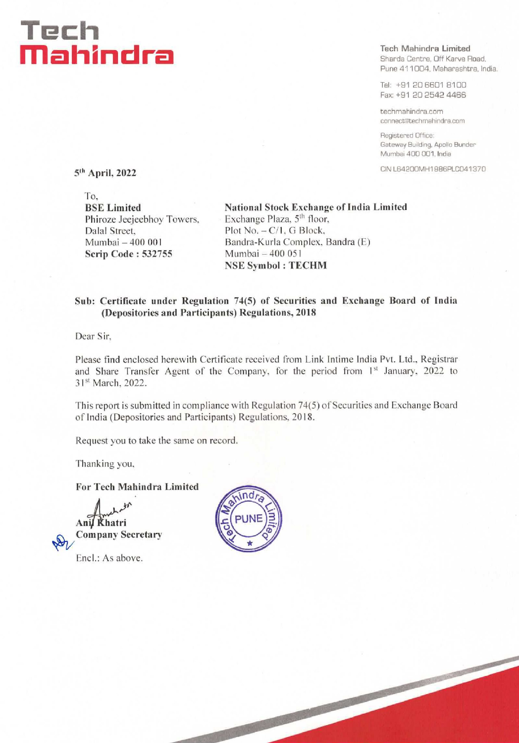# Tech Tech Mahindra Limited<br>Sharda Centre, Off Karve R

Pune 411004, Maharashtra, India. Sharda Centre, Off Karve Road.

Tel; +91 20 6601 8100 Fax: +91 20 2542 4466

techmahindra.com sonnect@techmahindra.com

Registered Office: Gateway Building, Apallo Bunder Mumbai 400 001, India

5<sup>th</sup> April, 2022 CIN L64200MH1986PLC041370

To, Phiroze Jeejeebhoy Towers, Exchange Plaza, 5<sup>th</sup> floor, Dalal Street, Plot No. - C/1, G Block, Scrip Code : 532755 Mumbai = 400 051

BSE Limited National Stock Exchange of India Limited Mumbai — 400 001 Bandra-Kurla Complex, Bandra (E) NSE Symbol : TECHM

# Sub: Certificate under Regulation 74(5) of Securities and Exchange Board of India (Depositories and Participants) Regulations, 2018

Dear Sir,

Please find enclosed herewith Certificate received from Link Intime India Pvt. Ltd., Registrar and Share Transfer Agent of the Company, for the period from I\* January. 2022 to 31<sup>st</sup> March, 2022. Bandra-Kurla Complex, Bandra (E)<br>
Mumbai – 400 051<br>
NSE Symbol : TECHM<br>
tion 74(5) of Securities and Exchange Board of India<br>
ants) Regulations, 2018<br>
tificate received from Link Intime India Pvt. Ltd., Registrare<br>
compan

This report is submitted in compliance with Regulation 74(5) of Securities and Exchange Board of India (Depositories and Participants) Regulations, 2018.

Request you to take the same on record.

Thanking you,

For Tech Mahindra Limited

 $\ast$ Ani) Khatri Company Secretary

Encl.: As above.